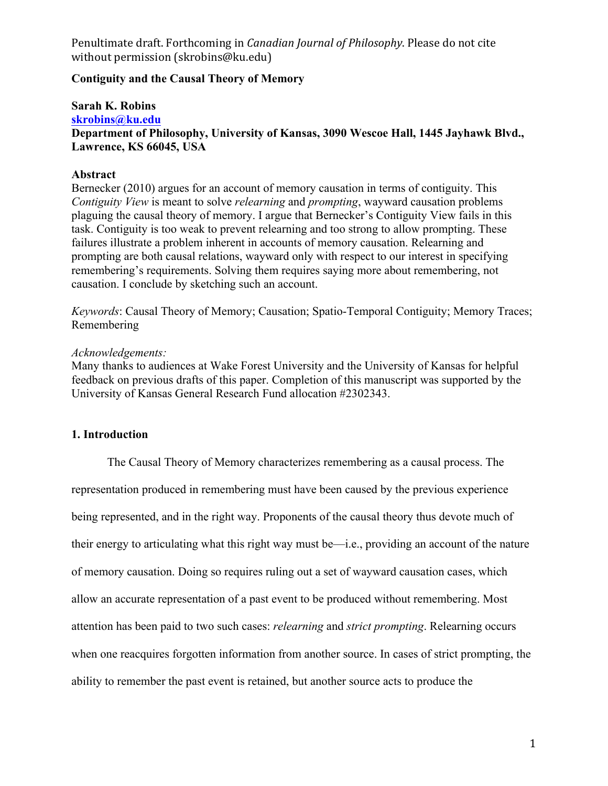#### **Contiguity and the Causal Theory of Memory**

#### **Sarah K. Robins skrobins@ku.edu Department of Philosophy, University of Kansas, 3090 Wescoe Hall, 1445 Jayhawk Blvd., Lawrence, KS 66045, USA**

#### **Abstract**

Bernecker (2010) argues for an account of memory causation in terms of contiguity. This *Contiguity View* is meant to solve *relearning* and *prompting*, wayward causation problems plaguing the causal theory of memory. I argue that Bernecker's Contiguity View fails in this task. Contiguity is too weak to prevent relearning and too strong to allow prompting. These failures illustrate a problem inherent in accounts of memory causation. Relearning and prompting are both causal relations, wayward only with respect to our interest in specifying remembering's requirements. Solving them requires saying more about remembering, not causation. I conclude by sketching such an account.

*Keywords*: Causal Theory of Memory; Causation; Spatio-Temporal Contiguity; Memory Traces; Remembering

#### *Acknowledgements:*

Many thanks to audiences at Wake Forest University and the University of Kansas for helpful feedback on previous drafts of this paper. Completion of this manuscript was supported by the University of Kansas General Research Fund allocation #2302343.

#### **1. Introduction**

The Causal Theory of Memory characterizes remembering as a causal process. The representation produced in remembering must have been caused by the previous experience being represented, and in the right way. Proponents of the causal theory thus devote much of their energy to articulating what this right way must be—i.e., providing an account of the nature of memory causation. Doing so requires ruling out a set of wayward causation cases, which allow an accurate representation of a past event to be produced without remembering. Most attention has been paid to two such cases: *relearning* and *strict prompting*. Relearning occurs when one reacquires forgotten information from another source. In cases of strict prompting, the ability to remember the past event is retained, but another source acts to produce the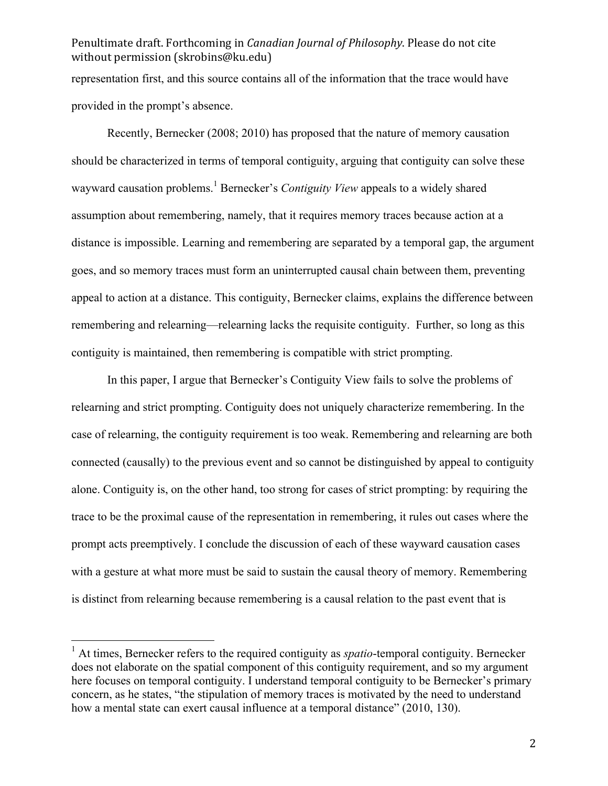representation first, and this source contains all of the information that the trace would have provided in the prompt's absence.

Recently, Bernecker (2008; 2010) has proposed that the nature of memory causation should be characterized in terms of temporal contiguity, arguing that contiguity can solve these wayward causation problems.<sup>1</sup> Bernecker's *Contiguity View* appeals to a widely shared assumption about remembering, namely, that it requires memory traces because action at a distance is impossible. Learning and remembering are separated by a temporal gap, the argument goes, and so memory traces must form an uninterrupted causal chain between them, preventing appeal to action at a distance. This contiguity, Bernecker claims, explains the difference between remembering and relearning—relearning lacks the requisite contiguity. Further, so long as this contiguity is maintained, then remembering is compatible with strict prompting.

In this paper, I argue that Bernecker's Contiguity View fails to solve the problems of relearning and strict prompting. Contiguity does not uniquely characterize remembering. In the case of relearning, the contiguity requirement is too weak. Remembering and relearning are both connected (causally) to the previous event and so cannot be distinguished by appeal to contiguity alone. Contiguity is, on the other hand, too strong for cases of strict prompting: by requiring the trace to be the proximal cause of the representation in remembering, it rules out cases where the prompt acts preemptively. I conclude the discussion of each of these wayward causation cases with a gesture at what more must be said to sustain the causal theory of memory. Remembering is distinct from relearning because remembering is a causal relation to the past event that is

 <sup>1</sup> At times, Bernecker refers to the required contiguity as *spatio*-temporal contiguity. Bernecker does not elaborate on the spatial component of this contiguity requirement, and so my argument here focuses on temporal contiguity. I understand temporal contiguity to be Bernecker's primary concern, as he states, "the stipulation of memory traces is motivated by the need to understand how a mental state can exert causal influence at a temporal distance" (2010, 130).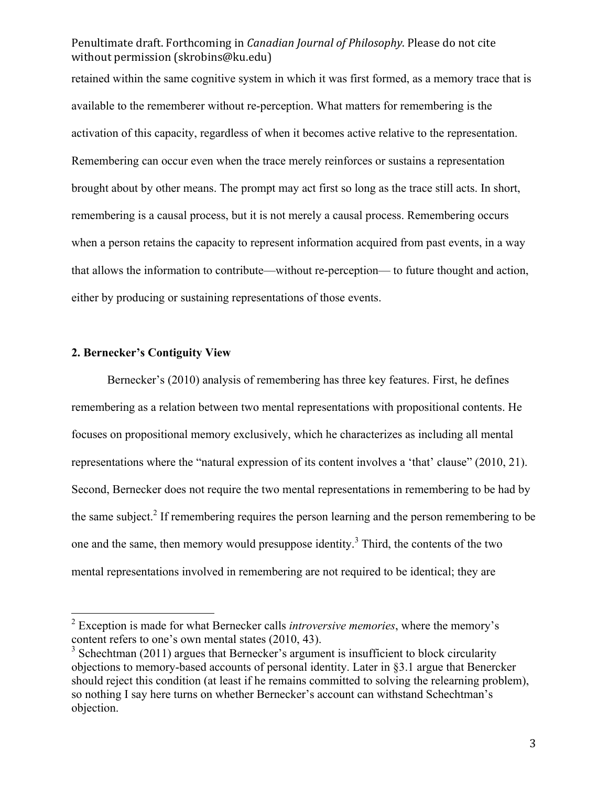retained within the same cognitive system in which it was first formed, as a memory trace that is available to the rememberer without re-perception. What matters for remembering is the activation of this capacity, regardless of when it becomes active relative to the representation. Remembering can occur even when the trace merely reinforces or sustains a representation brought about by other means. The prompt may act first so long as the trace still acts. In short, remembering is a causal process, but it is not merely a causal process. Remembering occurs when a person retains the capacity to represent information acquired from past events, in a way that allows the information to contribute—without re-perception— to future thought and action, either by producing or sustaining representations of those events.

#### **2. Bernecker's Contiguity View**

Bernecker's (2010) analysis of remembering has three key features. First, he defines remembering as a relation between two mental representations with propositional contents. He focuses on propositional memory exclusively, which he characterizes as including all mental representations where the "natural expression of its content involves a 'that' clause" (2010, 21). Second, Bernecker does not require the two mental representations in remembering to be had by the same subject.<sup>2</sup> If remembering requires the person learning and the person remembering to be one and the same, then memory would presuppose identity.<sup>3</sup> Third, the contents of the two mental representations involved in remembering are not required to be identical; they are

 <sup>2</sup> Exception is made for what Bernecker calls *introversive memories*, where the memory's content refers to one's own mental states (2010, 43).

 $3$  Schechtman (2011) argues that Bernecker's argument is insufficient to block circularity objections to memory-based accounts of personal identity. Later in §3.1 argue that Benercker should reject this condition (at least if he remains committed to solving the relearning problem), so nothing I say here turns on whether Bernecker's account can withstand Schechtman's objection.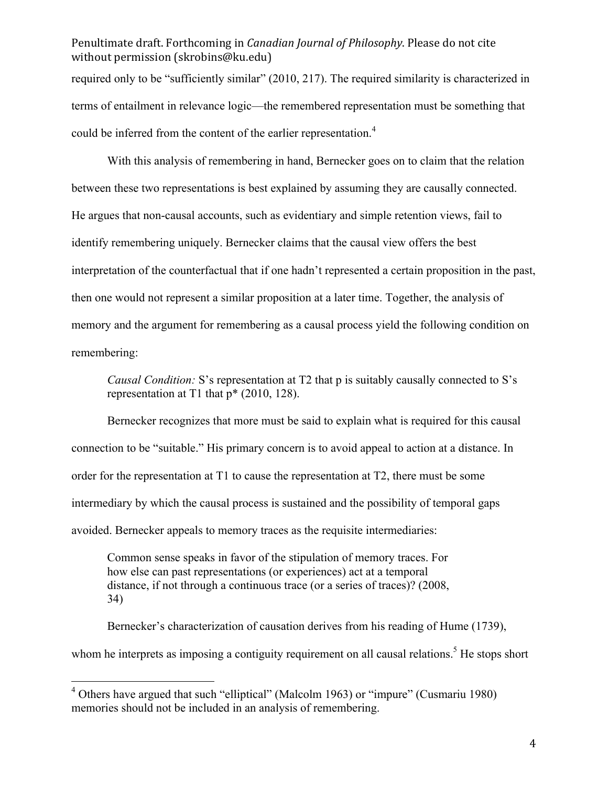required only to be "sufficiently similar" (2010, 217). The required similarity is characterized in terms of entailment in relevance logic—the remembered representation must be something that could be inferred from the content of the earlier representation.<sup>4</sup>

With this analysis of remembering in hand, Bernecker goes on to claim that the relation between these two representations is best explained by assuming they are causally connected. He argues that non-causal accounts, such as evidentiary and simple retention views, fail to identify remembering uniquely. Bernecker claims that the causal view offers the best interpretation of the counterfactual that if one hadn't represented a certain proposition in the past, then one would not represent a similar proposition at a later time. Together, the analysis of memory and the argument for remembering as a causal process yield the following condition on remembering:

*Causal Condition:* S's representation at T2 that p is suitably causally connected to S's representation at T1 that p\* (2010, 128).

Bernecker recognizes that more must be said to explain what is required for this causal connection to be "suitable." His primary concern is to avoid appeal to action at a distance. In order for the representation at T1 to cause the representation at T2, there must be some intermediary by which the causal process is sustained and the possibility of temporal gaps avoided. Bernecker appeals to memory traces as the requisite intermediaries:

Common sense speaks in favor of the stipulation of memory traces. For how else can past representations (or experiences) act at a temporal distance, if not through a continuous trace (or a series of traces)? (2008, 34)

Bernecker's characterization of causation derives from his reading of Hume (1739), whom he interprets as imposing a contiguity requirement on all causal relations.<sup>5</sup> He stops short

 $4$  Others have argued that such "elliptical" (Malcolm 1963) or "impure" (Cusmariu 1980) memories should not be included in an analysis of remembering.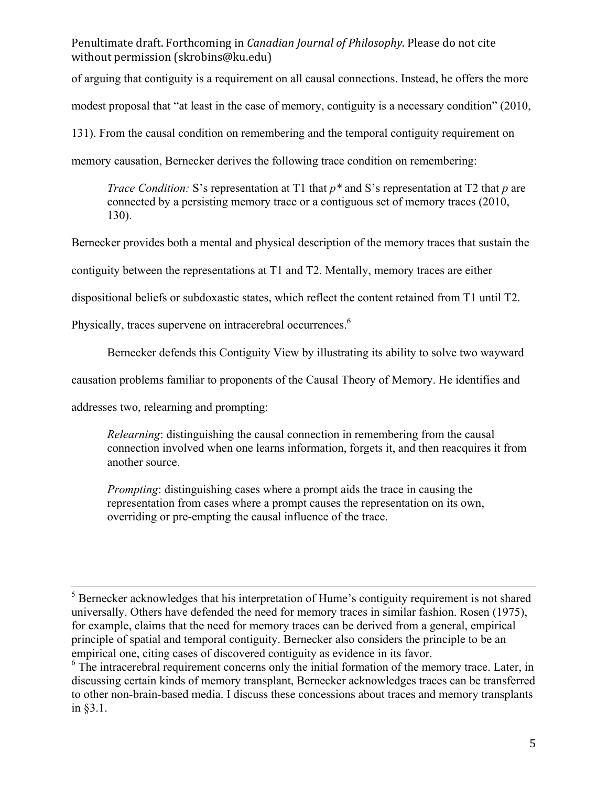of arguing that contiguity is a requirement on all causal connections. Instead, he offers the more

modest proposal that "at least in the case of memory, contiguity is a necessary condition" (2010,

131). From the causal condition on remembering and the temporal contiguity requirement on

memory causation, Bernecker derives the following trace condition on remembering:

*Trace Condition:* S's representation at T1 that *p\** and S's representation at T2 that *p* are connected by a persisting memory trace or a contiguous set of memory traces (2010, 130).

Bernecker provides both a mental and physical description of the memory traces that sustain the

contiguity between the representations at T1 and T2. Mentally, memory traces are either

dispositional beliefs or subdoxastic states, which reflect the content retained from T1 until T2.

Physically, traces supervene on intracerebral occurrences.<sup>6</sup>

Bernecker defends this Contiguity View by illustrating its ability to solve two wayward

causation problems familiar to proponents of the Causal Theory of Memory. He identifies and

addresses two, relearning and prompting:

*Relearning*: distinguishing the causal connection in remembering from the causal connection involved when one learns information, forgets it, and then reacquires it from another source.

*Prompting*: distinguishing cases where a prompt aids the trace in causing the representation from cases where a prompt causes the representation on its own, overriding or pre-empting the causal influence of the trace.

<sup>&</sup>lt;sup>5</sup> Bernecker acknowledges that his interpretation of Hume's contiguity requirement is not shared universally. Others have defended the need for memory traces in similar fashion. Rosen (1975), for example, claims that the need for memory traces can be derived from a general, empirical principle of spatial and temporal contiguity. Bernecker also considers the principle to be an empirical one, citing cases of discovered contiguity as evidence in its favor.

<sup>&</sup>lt;sup>6</sup> The intracerebral requirement concerns only the initial formation of the memory trace. Later, in discussing certain kinds of memory transplant, Bernecker acknowledges traces can be transferred to other non-brain-based media. I discuss these concessions about traces and memory transplants in §3.1.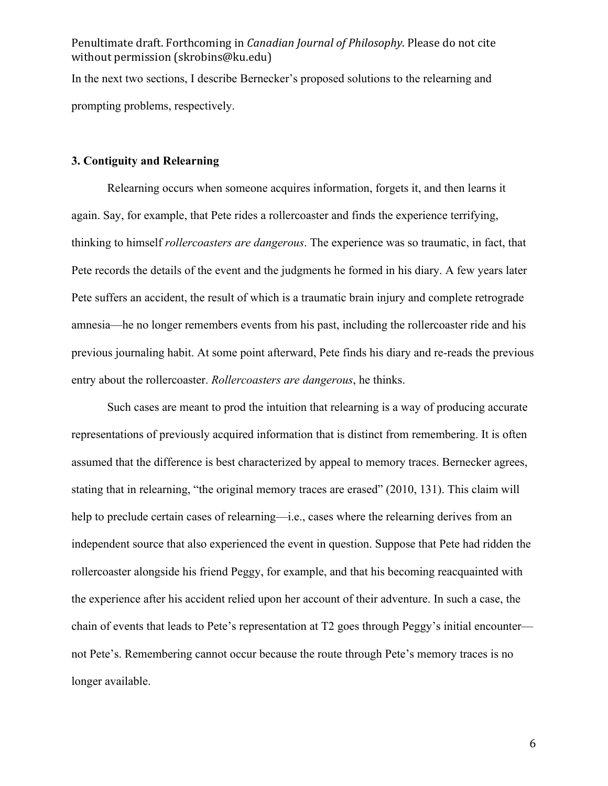Penultimate draft. Forthcoming in *Canadian Journal of Philosophy*. Please do not cite without permission (skrobins@ku.edu) In the next two sections, I describe Bernecker's proposed solutions to the relearning and

prompting problems, respectively.

#### **3. Contiguity and Relearning**

Relearning occurs when someone acquires information, forgets it, and then learns it again. Say, for example, that Pete rides a rollercoaster and finds the experience terrifying, thinking to himself *rollercoasters are dangerous*. The experience was so traumatic, in fact, that Pete records the details of the event and the judgments he formed in his diary. A few years later Pete suffers an accident, the result of which is a traumatic brain injury and complete retrograde amnesia—he no longer remembers events from his past, including the rollercoaster ride and his previous journaling habit. At some point afterward, Pete finds his diary and re-reads the previous entry about the rollercoaster. *Rollercoasters are dangerous*, he thinks.

Such cases are meant to prod the intuition that relearning is a way of producing accurate representations of previously acquired information that is distinct from remembering. It is often assumed that the difference is best characterized by appeal to memory traces. Bernecker agrees, stating that in relearning, "the original memory traces are erased" (2010, 131). This claim will help to preclude certain cases of relearning—i.e., cases where the relearning derives from an independent source that also experienced the event in question. Suppose that Pete had ridden the rollercoaster alongside his friend Peggy, for example, and that his becoming reacquainted with the experience after his accident relied upon her account of their adventure. In such a case, the chain of events that leads to Pete's representation at T2 goes through Peggy's initial encounter not Pete's. Remembering cannot occur because the route through Pete's memory traces is no longer available.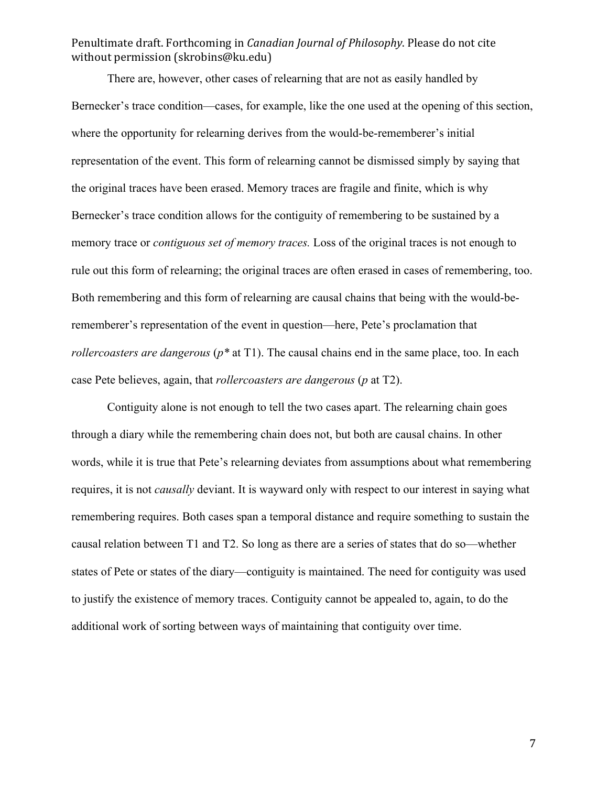There are, however, other cases of relearning that are not as easily handled by Bernecker's trace condition—cases, for example, like the one used at the opening of this section, where the opportunity for relearning derives from the would-be-rememberer's initial representation of the event. This form of relearning cannot be dismissed simply by saying that the original traces have been erased. Memory traces are fragile and finite, which is why Bernecker's trace condition allows for the contiguity of remembering to be sustained by a memory trace or *contiguous set of memory traces.* Loss of the original traces is not enough to rule out this form of relearning; the original traces are often erased in cases of remembering, too. Both remembering and this form of relearning are causal chains that being with the would-berememberer's representation of the event in question—here, Pete's proclamation that *rollercoasters are dangerous* ( $p^*$  at T1). The causal chains end in the same place, too. In each case Pete believes, again, that *rollercoasters are dangerous* (*p* at T2).

Contiguity alone is not enough to tell the two cases apart. The relearning chain goes through a diary while the remembering chain does not, but both are causal chains. In other words, while it is true that Pete's relearning deviates from assumptions about what remembering requires, it is not *causally* deviant. It is wayward only with respect to our interest in saying what remembering requires. Both cases span a temporal distance and require something to sustain the causal relation between T1 and T2. So long as there are a series of states that do so—whether states of Pete or states of the diary—contiguity is maintained. The need for contiguity was used to justify the existence of memory traces. Contiguity cannot be appealed to, again, to do the additional work of sorting between ways of maintaining that contiguity over time.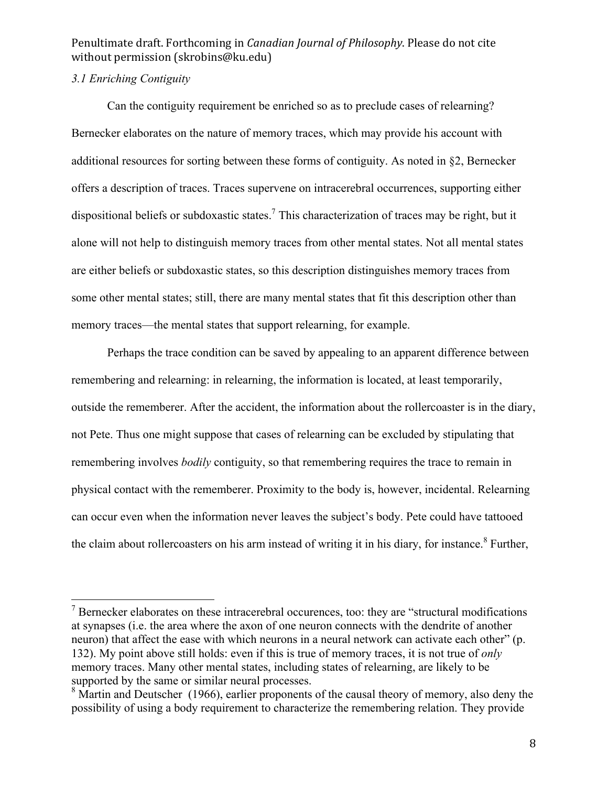#### *3.1 Enriching Contiguity*

Can the contiguity requirement be enriched so as to preclude cases of relearning? Bernecker elaborates on the nature of memory traces, which may provide his account with additional resources for sorting between these forms of contiguity. As noted in §2, Bernecker offers a description of traces. Traces supervene on intracerebral occurrences, supporting either dispositional beliefs or subdoxastic states.7 This characterization of traces may be right, but it alone will not help to distinguish memory traces from other mental states. Not all mental states are either beliefs or subdoxastic states, so this description distinguishes memory traces from some other mental states; still, there are many mental states that fit this description other than memory traces—the mental states that support relearning, for example.

Perhaps the trace condition can be saved by appealing to an apparent difference between remembering and relearning: in relearning, the information is located, at least temporarily, outside the rememberer. After the accident, the information about the rollercoaster is in the diary, not Pete. Thus one might suppose that cases of relearning can be excluded by stipulating that remembering involves *bodily* contiguity, so that remembering requires the trace to remain in physical contact with the rememberer. Proximity to the body is, however, incidental. Relearning can occur even when the information never leaves the subject's body. Pete could have tattooed the claim about rollercoasters on his arm instead of writing it in his diary, for instance.<sup>8</sup> Further,

 $<sup>7</sup>$  Bernecker elaborates on these intracerebral occurences, too: they are "structural modifications"</sup> at synapses (i.e. the area where the axon of one neuron connects with the dendrite of another neuron) that affect the ease with which neurons in a neural network can activate each other" (p. 132). My point above still holds: even if this is true of memory traces, it is not true of *only*  memory traces. Many other mental states, including states of relearning, are likely to be supported by the same or similar neural processes.

 $8$  Martin and Deutscher (1966), earlier proponents of the causal theory of memory, also deny the possibility of using a body requirement to characterize the remembering relation. They provide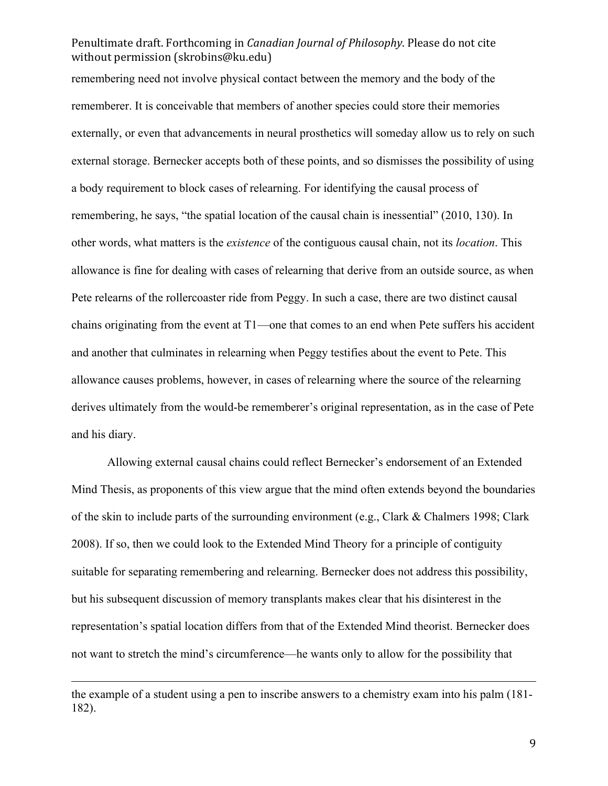remembering need not involve physical contact between the memory and the body of the rememberer. It is conceivable that members of another species could store their memories externally, or even that advancements in neural prosthetics will someday allow us to rely on such external storage. Bernecker accepts both of these points, and so dismisses the possibility of using a body requirement to block cases of relearning. For identifying the causal process of remembering, he says, "the spatial location of the causal chain is inessential" (2010, 130). In other words, what matters is the *existence* of the contiguous causal chain, not its *location*. This allowance is fine for dealing with cases of relearning that derive from an outside source, as when Pete relearns of the rollercoaster ride from Peggy. In such a case, there are two distinct causal chains originating from the event at T1—one that comes to an end when Pete suffers his accident and another that culminates in relearning when Peggy testifies about the event to Pete. This allowance causes problems, however, in cases of relearning where the source of the relearning derives ultimately from the would-be rememberer's original representation, as in the case of Pete and his diary.

Allowing external causal chains could reflect Bernecker's endorsement of an Extended Mind Thesis, as proponents of this view argue that the mind often extends beyond the boundaries of the skin to include parts of the surrounding environment (e.g., Clark & Chalmers 1998; Clark 2008). If so, then we could look to the Extended Mind Theory for a principle of contiguity suitable for separating remembering and relearning. Bernecker does not address this possibility, but his subsequent discussion of memory transplants makes clear that his disinterest in the representation's spatial location differs from that of the Extended Mind theorist. Bernecker does not want to stretch the mind's circumference—he wants only to allow for the possibility that

<u> 1989 - Andrea Santa Andrea Santa Andrea Santa Andrea Santa Andrea Santa Andrea Santa Andrea Santa Andrea San</u>

the example of a student using a pen to inscribe answers to a chemistry exam into his palm (181- 182).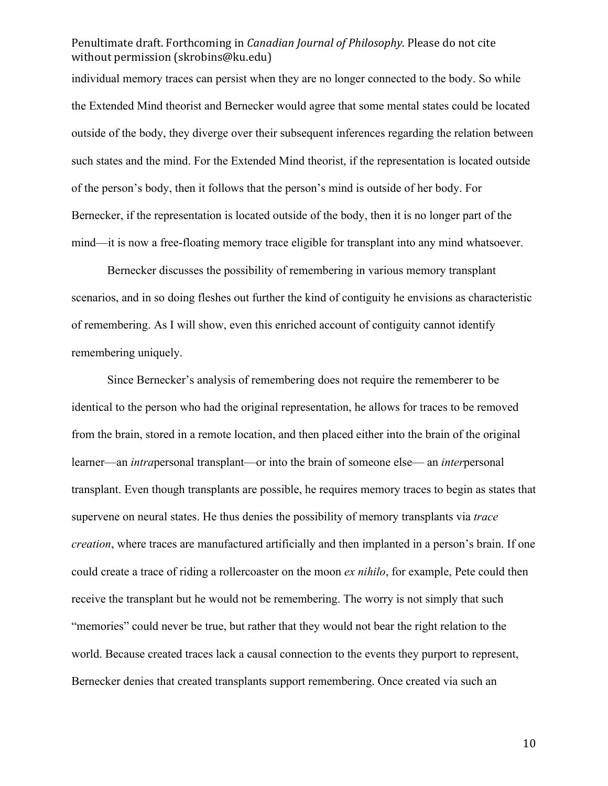individual memory traces can persist when they are no longer connected to the body. So while the Extended Mind theorist and Bernecker would agree that some mental states could be located outside of the body, they diverge over their subsequent inferences regarding the relation between such states and the mind. For the Extended Mind theorist, if the representation is located outside of the person's body, then it follows that the person's mind is outside of her body. For Bernecker, if the representation is located outside of the body, then it is no longer part of the mind—it is now a free-floating memory trace eligible for transplant into any mind whatsoever.

Bernecker discusses the possibility of remembering in various memory transplant scenarios, and in so doing fleshes out further the kind of contiguity he envisions as characteristic of remembering. As I will show, even this enriched account of contiguity cannot identify remembering uniquely.

Since Bernecker's analysis of remembering does not require the rememberer to be identical to the person who had the original representation, he allows for traces to be removed from the brain, stored in a remote location, and then placed either into the brain of the original learner—an *intra*personal transplant—or into the brain of someone else— an *inter*personal transplant. Even though transplants are possible, he requires memory traces to begin as states that supervene on neural states. He thus denies the possibility of memory transplants via *trace creation*, where traces are manufactured artificially and then implanted in a person's brain. If one could create a trace of riding a rollercoaster on the moon *ex nihilo*, for example, Pete could then receive the transplant but he would not be remembering. The worry is not simply that such "memories" could never be true, but rather that they would not bear the right relation to the world. Because created traces lack a causal connection to the events they purport to represent, Bernecker denies that created transplants support remembering. Once created via such an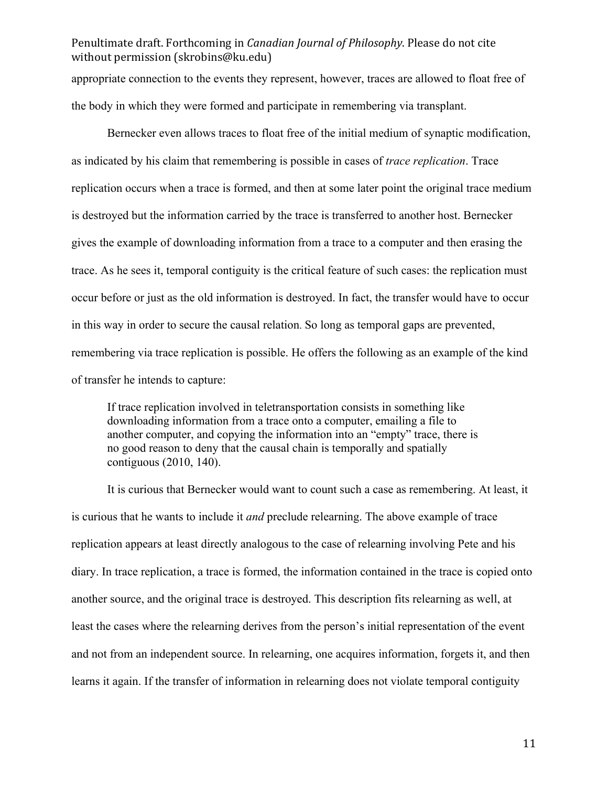appropriate connection to the events they represent, however, traces are allowed to float free of the body in which they were formed and participate in remembering via transplant.

Bernecker even allows traces to float free of the initial medium of synaptic modification, as indicated by his claim that remembering is possible in cases of *trace replication*. Trace replication occurs when a trace is formed, and then at some later point the original trace medium is destroyed but the information carried by the trace is transferred to another host. Bernecker gives the example of downloading information from a trace to a computer and then erasing the trace. As he sees it, temporal contiguity is the critical feature of such cases: the replication must occur before or just as the old information is destroyed. In fact, the transfer would have to occur in this way in order to secure the causal relation. So long as temporal gaps are prevented, remembering via trace replication is possible. He offers the following as an example of the kind of transfer he intends to capture:

If trace replication involved in teletransportation consists in something like downloading information from a trace onto a computer, emailing a file to another computer, and copying the information into an "empty" trace, there is no good reason to deny that the causal chain is temporally and spatially contiguous (2010, 140).

It is curious that Bernecker would want to count such a case as remembering. At least, it is curious that he wants to include it *and* preclude relearning. The above example of trace replication appears at least directly analogous to the case of relearning involving Pete and his diary. In trace replication, a trace is formed, the information contained in the trace is copied onto another source, and the original trace is destroyed. This description fits relearning as well, at least the cases where the relearning derives from the person's initial representation of the event and not from an independent source. In relearning, one acquires information, forgets it, and then learns it again. If the transfer of information in relearning does not violate temporal contiguity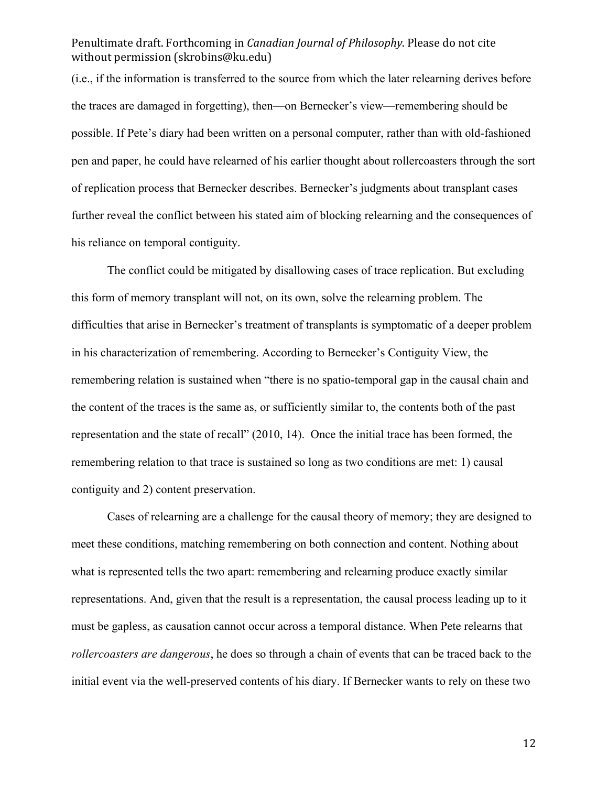(i.e., if the information is transferred to the source from which the later relearning derives before the traces are damaged in forgetting), then—on Bernecker's view—remembering should be possible. If Pete's diary had been written on a personal computer, rather than with old-fashioned pen and paper, he could have relearned of his earlier thought about rollercoasters through the sort of replication process that Bernecker describes. Bernecker's judgments about transplant cases further reveal the conflict between his stated aim of blocking relearning and the consequences of his reliance on temporal contiguity.

The conflict could be mitigated by disallowing cases of trace replication. But excluding this form of memory transplant will not, on its own, solve the relearning problem. The difficulties that arise in Bernecker's treatment of transplants is symptomatic of a deeper problem in his characterization of remembering. According to Bernecker's Contiguity View, the remembering relation is sustained when "there is no spatio-temporal gap in the causal chain and the content of the traces is the same as, or sufficiently similar to, the contents both of the past representation and the state of recall" (2010, 14). Once the initial trace has been formed, the remembering relation to that trace is sustained so long as two conditions are met: 1) causal contiguity and 2) content preservation.

Cases of relearning are a challenge for the causal theory of memory; they are designed to meet these conditions, matching remembering on both connection and content. Nothing about what is represented tells the two apart: remembering and relearning produce exactly similar representations. And, given that the result is a representation, the causal process leading up to it must be gapless, as causation cannot occur across a temporal distance. When Pete relearns that *rollercoasters are dangerous*, he does so through a chain of events that can be traced back to the initial event via the well-preserved contents of his diary. If Bernecker wants to rely on these two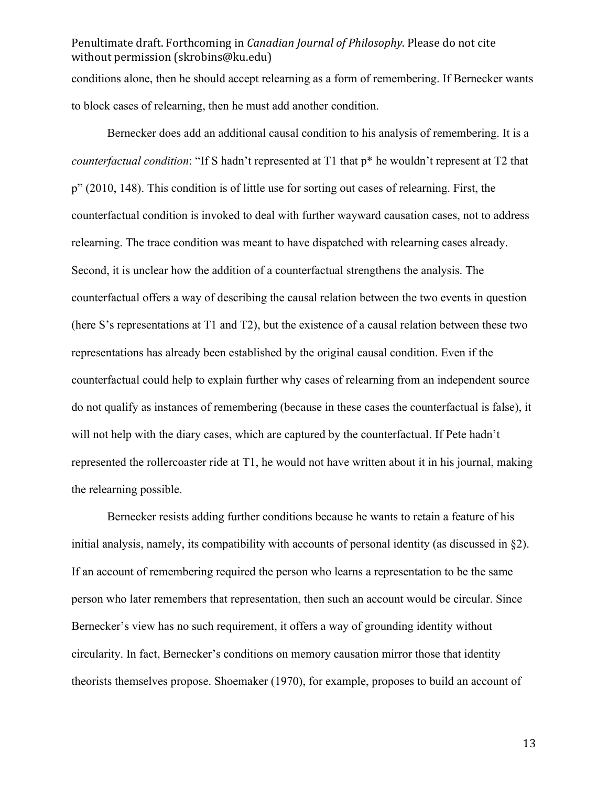conditions alone, then he should accept relearning as a form of remembering. If Bernecker wants to block cases of relearning, then he must add another condition.

Bernecker does add an additional causal condition to his analysis of remembering. It is a *counterfactual condition*: "If S hadn't represented at T1 that p\* he wouldn't represent at T2 that p" (2010, 148). This condition is of little use for sorting out cases of relearning. First, the counterfactual condition is invoked to deal with further wayward causation cases, not to address relearning. The trace condition was meant to have dispatched with relearning cases already. Second, it is unclear how the addition of a counterfactual strengthens the analysis. The counterfactual offers a way of describing the causal relation between the two events in question (here S's representations at T1 and T2), but the existence of a causal relation between these two representations has already been established by the original causal condition. Even if the counterfactual could help to explain further why cases of relearning from an independent source do not qualify as instances of remembering (because in these cases the counterfactual is false), it will not help with the diary cases, which are captured by the counterfactual. If Pete hadn't represented the rollercoaster ride at T1, he would not have written about it in his journal, making the relearning possible.

Bernecker resists adding further conditions because he wants to retain a feature of his initial analysis, namely, its compatibility with accounts of personal identity (as discussed in §2). If an account of remembering required the person who learns a representation to be the same person who later remembers that representation, then such an account would be circular. Since Bernecker's view has no such requirement, it offers a way of grounding identity without circularity. In fact, Bernecker's conditions on memory causation mirror those that identity theorists themselves propose. Shoemaker (1970), for example, proposes to build an account of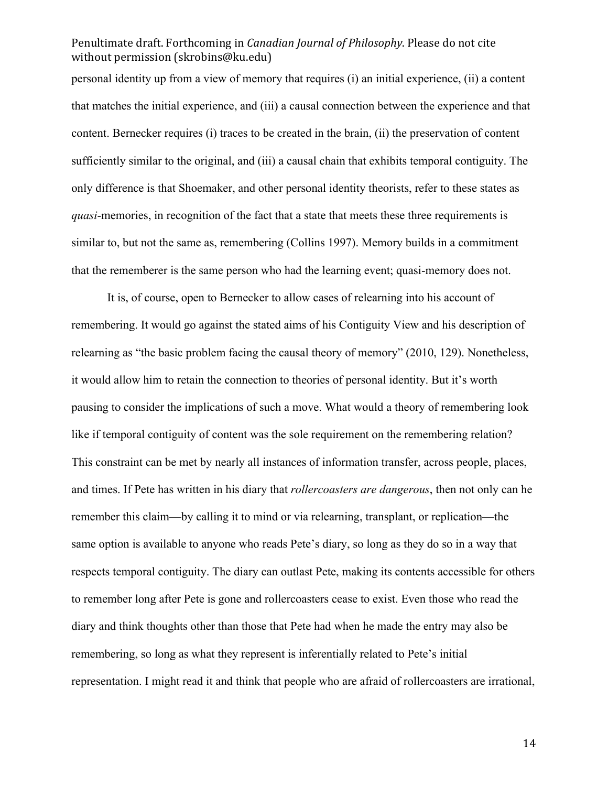personal identity up from a view of memory that requires (i) an initial experience, (ii) a content that matches the initial experience, and (iii) a causal connection between the experience and that content. Bernecker requires (i) traces to be created in the brain, (ii) the preservation of content sufficiently similar to the original, and (iii) a causal chain that exhibits temporal contiguity. The only difference is that Shoemaker, and other personal identity theorists, refer to these states as *quasi*-memories, in recognition of the fact that a state that meets these three requirements is similar to, but not the same as, remembering (Collins 1997). Memory builds in a commitment that the rememberer is the same person who had the learning event; quasi-memory does not.

It is, of course, open to Bernecker to allow cases of relearning into his account of remembering. It would go against the stated aims of his Contiguity View and his description of relearning as "the basic problem facing the causal theory of memory" (2010, 129). Nonetheless, it would allow him to retain the connection to theories of personal identity. But it's worth pausing to consider the implications of such a move. What would a theory of remembering look like if temporal contiguity of content was the sole requirement on the remembering relation? This constraint can be met by nearly all instances of information transfer, across people, places, and times. If Pete has written in his diary that *rollercoasters are dangerous*, then not only can he remember this claim—by calling it to mind or via relearning, transplant, or replication—the same option is available to anyone who reads Pete's diary, so long as they do so in a way that respects temporal contiguity. The diary can outlast Pete, making its contents accessible for others to remember long after Pete is gone and rollercoasters cease to exist. Even those who read the diary and think thoughts other than those that Pete had when he made the entry may also be remembering, so long as what they represent is inferentially related to Pete's initial representation. I might read it and think that people who are afraid of rollercoasters are irrational,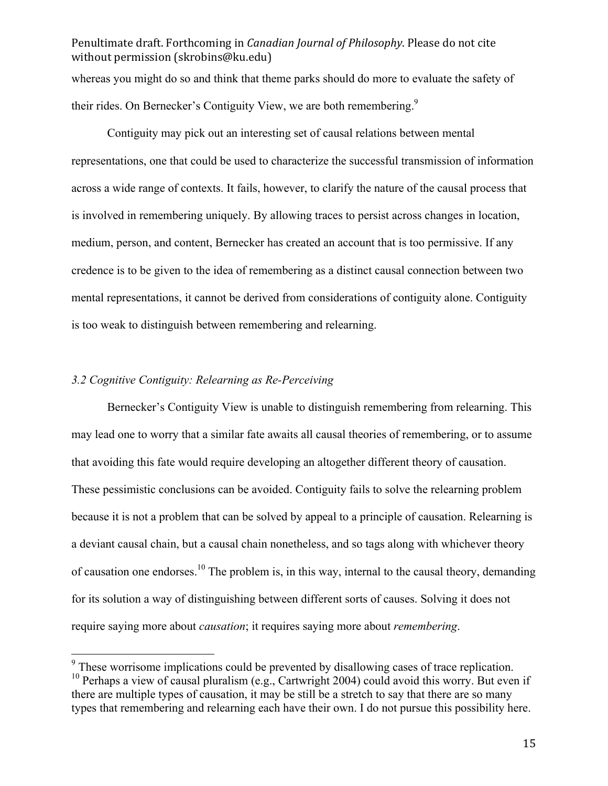whereas you might do so and think that theme parks should do more to evaluate the safety of their rides. On Bernecker's Contiguity View, we are both remembering.<sup>9</sup>

Contiguity may pick out an interesting set of causal relations between mental representations, one that could be used to characterize the successful transmission of information across a wide range of contexts. It fails, however, to clarify the nature of the causal process that is involved in remembering uniquely. By allowing traces to persist across changes in location, medium, person, and content, Bernecker has created an account that is too permissive. If any credence is to be given to the idea of remembering as a distinct causal connection between two mental representations, it cannot be derived from considerations of contiguity alone. Contiguity is too weak to distinguish between remembering and relearning.

#### *3.2 Cognitive Contiguity: Relearning as Re-Perceiving*

Bernecker's Contiguity View is unable to distinguish remembering from relearning. This may lead one to worry that a similar fate awaits all causal theories of remembering, or to assume that avoiding this fate would require developing an altogether different theory of causation. These pessimistic conclusions can be avoided. Contiguity fails to solve the relearning problem because it is not a problem that can be solved by appeal to a principle of causation. Relearning is a deviant causal chain, but a causal chain nonetheless, and so tags along with whichever theory of causation one endorses.<sup>10</sup> The problem is, in this way, internal to the causal theory, demanding for its solution a way of distinguishing between different sorts of causes. Solving it does not require saying more about *causation*; it requires saying more about *remembering*.

<sup>&</sup>lt;sup>9</sup> These worrisome implications could be prevented by disallowing cases of trace replication. <sup>10</sup> Perhaps a view of causal pluralism (e.g., Cartwright 2004) could avoid this worry. But even if there are multiple types of causation, it may be still be a stretch to say that there are so many types that remembering and relearning each have their own. I do not pursue this possibility here.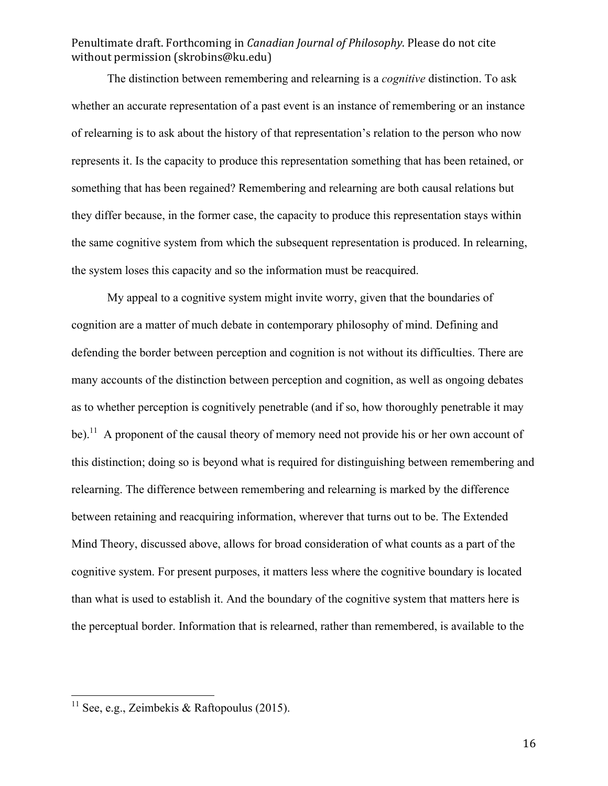The distinction between remembering and relearning is a *cognitive* distinction. To ask whether an accurate representation of a past event is an instance of remembering or an instance of relearning is to ask about the history of that representation's relation to the person who now represents it. Is the capacity to produce this representation something that has been retained, or something that has been regained? Remembering and relearning are both causal relations but they differ because, in the former case, the capacity to produce this representation stays within the same cognitive system from which the subsequent representation is produced. In relearning, the system loses this capacity and so the information must be reacquired.

My appeal to a cognitive system might invite worry, given that the boundaries of cognition are a matter of much debate in contemporary philosophy of mind. Defining and defending the border between perception and cognition is not without its difficulties. There are many accounts of the distinction between perception and cognition, as well as ongoing debates as to whether perception is cognitively penetrable (and if so, how thoroughly penetrable it may be).<sup>11</sup> A proponent of the causal theory of memory need not provide his or her own account of this distinction; doing so is beyond what is required for distinguishing between remembering and relearning. The difference between remembering and relearning is marked by the difference between retaining and reacquiring information, wherever that turns out to be. The Extended Mind Theory, discussed above, allows for broad consideration of what counts as a part of the cognitive system. For present purposes, it matters less where the cognitive boundary is located than what is used to establish it. And the boundary of the cognitive system that matters here is the perceptual border. Information that is relearned, rather than remembered, is available to the

<sup>&</sup>lt;sup>11</sup> See, e.g., Zeimbekis & Raftopoulus (2015).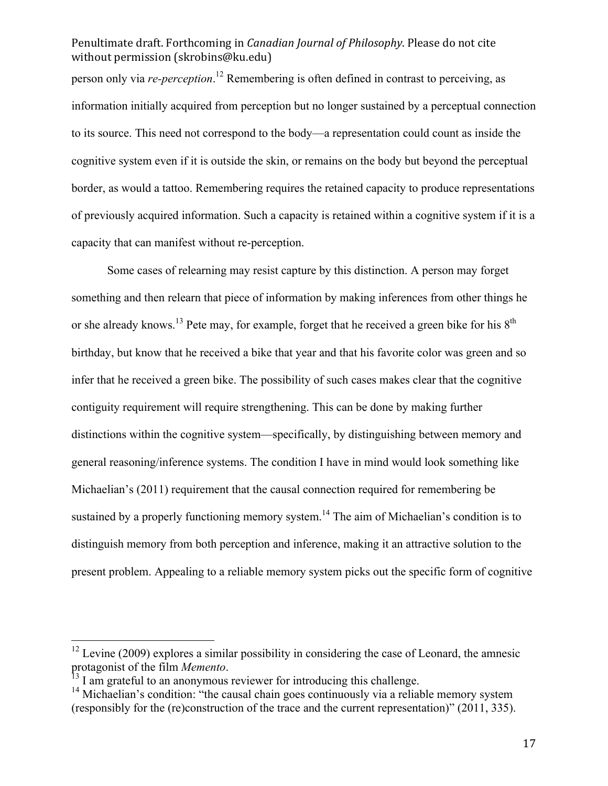person only via *re-perception*. <sup>12</sup> Remembering is often defined in contrast to perceiving, as information initially acquired from perception but no longer sustained by a perceptual connection to its source. This need not correspond to the body—a representation could count as inside the cognitive system even if it is outside the skin, or remains on the body but beyond the perceptual border, as would a tattoo. Remembering requires the retained capacity to produce representations of previously acquired information. Such a capacity is retained within a cognitive system if it is a capacity that can manifest without re-perception.

Some cases of relearning may resist capture by this distinction. A person may forget something and then relearn that piece of information by making inferences from other things he or she already knows.<sup>13</sup> Pete may, for example, forget that he received a green bike for his  $8<sup>th</sup>$ birthday, but know that he received a bike that year and that his favorite color was green and so infer that he received a green bike. The possibility of such cases makes clear that the cognitive contiguity requirement will require strengthening. This can be done by making further distinctions within the cognitive system—specifically, by distinguishing between memory and general reasoning/inference systems. The condition I have in mind would look something like Michaelian's (2011) requirement that the causal connection required for remembering be sustained by a properly functioning memory system.<sup>14</sup> The aim of Michaelian's condition is to distinguish memory from both perception and inference, making it an attractive solution to the present problem. Appealing to a reliable memory system picks out the specific form of cognitive

 $12$  Levine (2009) explores a similar possibility in considering the case of Leonard, the amnesic protagonist of the film *Memento*.<br><sup>13</sup> I am grateful to an anonymous reviewer for introducing this challenge.

 $14$  Michaelian's condition: "the causal chain goes continuously via a reliable memory system (responsibly for the (re)construction of the trace and the current representation)" (2011, 335).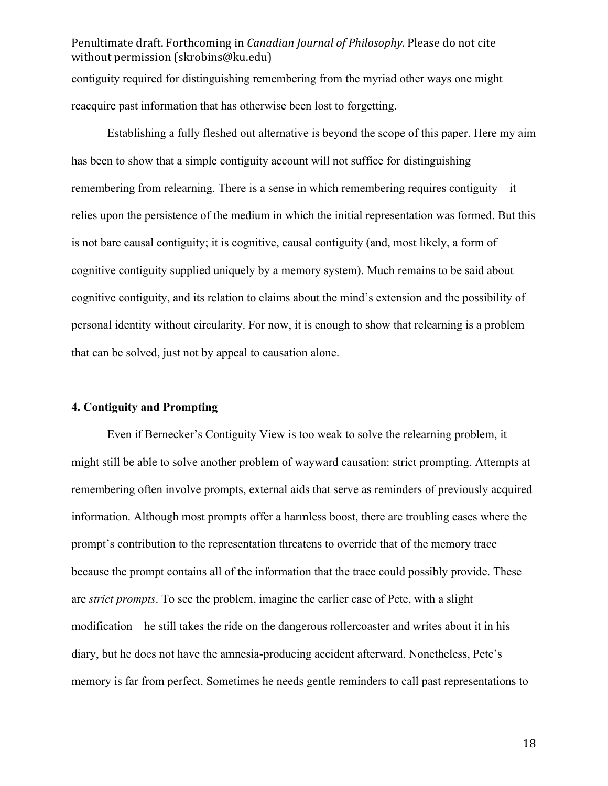# Penultimate draft. Forthcoming in *Canadian Journal of Philosophy*. Please do not cite without permission (skrobins@ku.edu) contiguity required for distinguishing remembering from the myriad other ways one might

reacquire past information that has otherwise been lost to forgetting.

Establishing a fully fleshed out alternative is beyond the scope of this paper. Here my aim has been to show that a simple contiguity account will not suffice for distinguishing remembering from relearning. There is a sense in which remembering requires contiguity—it relies upon the persistence of the medium in which the initial representation was formed. But this is not bare causal contiguity; it is cognitive, causal contiguity (and, most likely, a form of cognitive contiguity supplied uniquely by a memory system). Much remains to be said about cognitive contiguity, and its relation to claims about the mind's extension and the possibility of personal identity without circularity. For now, it is enough to show that relearning is a problem that can be solved, just not by appeal to causation alone.

#### **4. Contiguity and Prompting**

Even if Bernecker's Contiguity View is too weak to solve the relearning problem, it might still be able to solve another problem of wayward causation: strict prompting. Attempts at remembering often involve prompts, external aids that serve as reminders of previously acquired information. Although most prompts offer a harmless boost, there are troubling cases where the prompt's contribution to the representation threatens to override that of the memory trace because the prompt contains all of the information that the trace could possibly provide. These are *strict prompts*. To see the problem, imagine the earlier case of Pete, with a slight modification—he still takes the ride on the dangerous rollercoaster and writes about it in his diary, but he does not have the amnesia-producing accident afterward. Nonetheless, Pete's memory is far from perfect. Sometimes he needs gentle reminders to call past representations to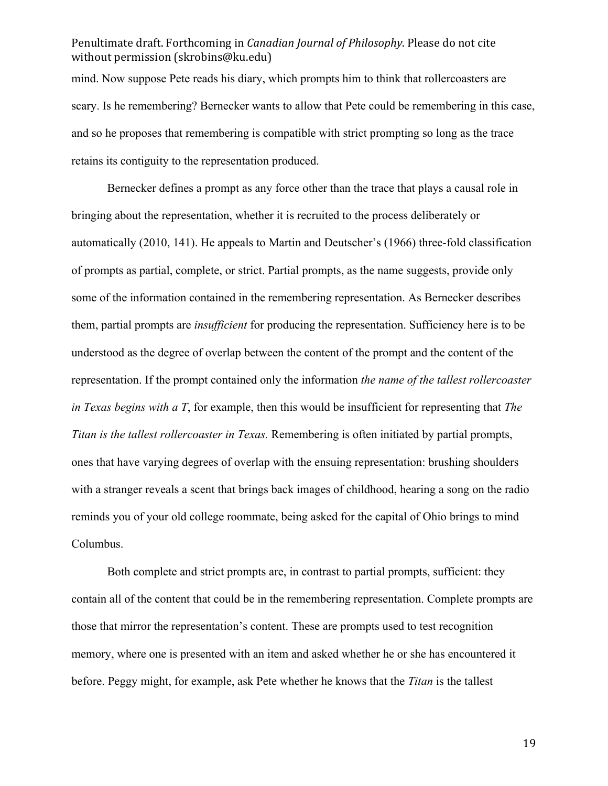mind. Now suppose Pete reads his diary, which prompts him to think that rollercoasters are scary. Is he remembering? Bernecker wants to allow that Pete could be remembering in this case, and so he proposes that remembering is compatible with strict prompting so long as the trace retains its contiguity to the representation produced.

Bernecker defines a prompt as any force other than the trace that plays a causal role in bringing about the representation, whether it is recruited to the process deliberately or automatically (2010, 141). He appeals to Martin and Deutscher's (1966) three-fold classification of prompts as partial, complete, or strict. Partial prompts, as the name suggests, provide only some of the information contained in the remembering representation. As Bernecker describes them, partial prompts are *insufficient* for producing the representation. Sufficiency here is to be understood as the degree of overlap between the content of the prompt and the content of the representation. If the prompt contained only the information *the name of the tallest rollercoaster in Texas begins with a T*, for example, then this would be insufficient for representing that *The Titan is the tallest rollercoaster in Texas.* Remembering is often initiated by partial prompts, ones that have varying degrees of overlap with the ensuing representation: brushing shoulders with a stranger reveals a scent that brings back images of childhood, hearing a song on the radio reminds you of your old college roommate, being asked for the capital of Ohio brings to mind Columbus.

Both complete and strict prompts are, in contrast to partial prompts, sufficient: they contain all of the content that could be in the remembering representation. Complete prompts are those that mirror the representation's content. These are prompts used to test recognition memory, where one is presented with an item and asked whether he or she has encountered it before. Peggy might, for example, ask Pete whether he knows that the *Titan* is the tallest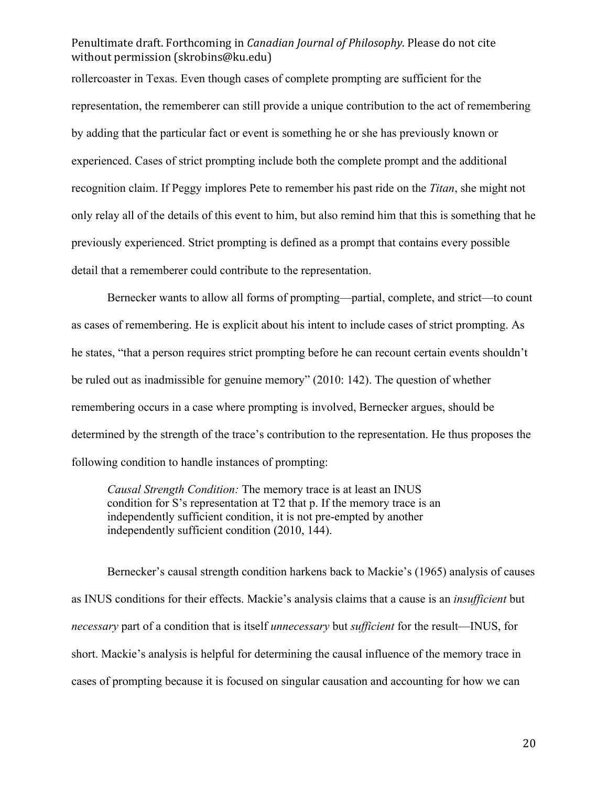rollercoaster in Texas. Even though cases of complete prompting are sufficient for the representation, the rememberer can still provide a unique contribution to the act of remembering by adding that the particular fact or event is something he or she has previously known or experienced. Cases of strict prompting include both the complete prompt and the additional recognition claim. If Peggy implores Pete to remember his past ride on the *Titan*, she might not only relay all of the details of this event to him, but also remind him that this is something that he previously experienced. Strict prompting is defined as a prompt that contains every possible detail that a rememberer could contribute to the representation.

Bernecker wants to allow all forms of prompting—partial, complete, and strict—to count as cases of remembering. He is explicit about his intent to include cases of strict prompting. As he states, "that a person requires strict prompting before he can recount certain events shouldn't be ruled out as inadmissible for genuine memory" (2010: 142). The question of whether remembering occurs in a case where prompting is involved, Bernecker argues, should be determined by the strength of the trace's contribution to the representation. He thus proposes the following condition to handle instances of prompting:

*Causal Strength Condition:* The memory trace is at least an INUS condition for S's representation at T2 that p. If the memory trace is an independently sufficient condition, it is not pre-empted by another independently sufficient condition (2010, 144).

Bernecker's causal strength condition harkens back to Mackie's (1965) analysis of causes as INUS conditions for their effects. Mackie's analysis claims that a cause is an *insufficient* but *necessary* part of a condition that is itself *unnecessary* but *sufficient* for the result—INUS, for short. Mackie's analysis is helpful for determining the causal influence of the memory trace in cases of prompting because it is focused on singular causation and accounting for how we can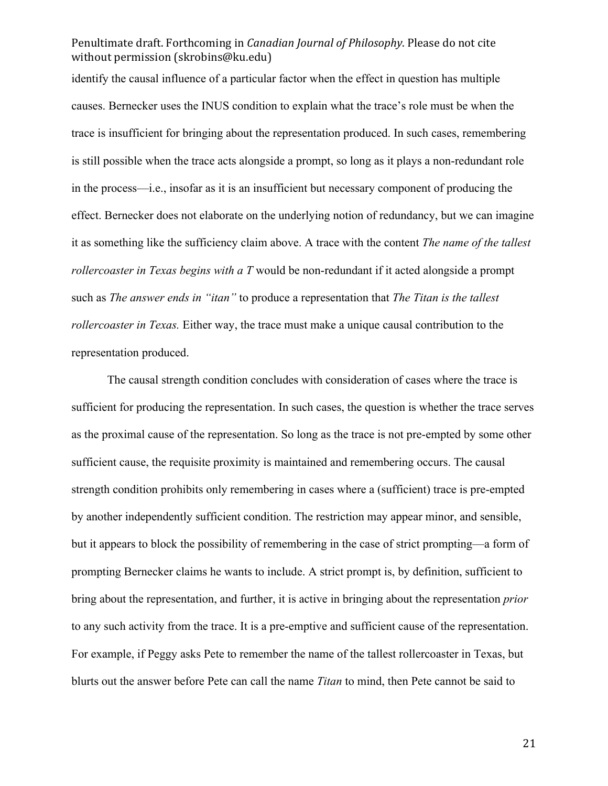identify the causal influence of a particular factor when the effect in question has multiple causes. Bernecker uses the INUS condition to explain what the trace's role must be when the trace is insufficient for bringing about the representation produced. In such cases, remembering is still possible when the trace acts alongside a prompt, so long as it plays a non-redundant role in the process—i.e., insofar as it is an insufficient but necessary component of producing the effect. Bernecker does not elaborate on the underlying notion of redundancy, but we can imagine it as something like the sufficiency claim above. A trace with the content *The name of the tallest rollercoaster in Texas begins with a T* would be non-redundant if it acted alongside a prompt such as *The answer ends in "itan"* to produce a representation that *The Titan is the tallest rollercoaster in Texas.* Either way, the trace must make a unique causal contribution to the representation produced.

The causal strength condition concludes with consideration of cases where the trace is sufficient for producing the representation. In such cases, the question is whether the trace serves as the proximal cause of the representation. So long as the trace is not pre-empted by some other sufficient cause, the requisite proximity is maintained and remembering occurs. The causal strength condition prohibits only remembering in cases where a (sufficient) trace is pre-empted by another independently sufficient condition. The restriction may appear minor, and sensible, but it appears to block the possibility of remembering in the case of strict prompting—a form of prompting Bernecker claims he wants to include. A strict prompt is, by definition, sufficient to bring about the representation, and further, it is active in bringing about the representation *prior* to any such activity from the trace. It is a pre-emptive and sufficient cause of the representation. For example, if Peggy asks Pete to remember the name of the tallest rollercoaster in Texas, but blurts out the answer before Pete can call the name *Titan* to mind, then Pete cannot be said to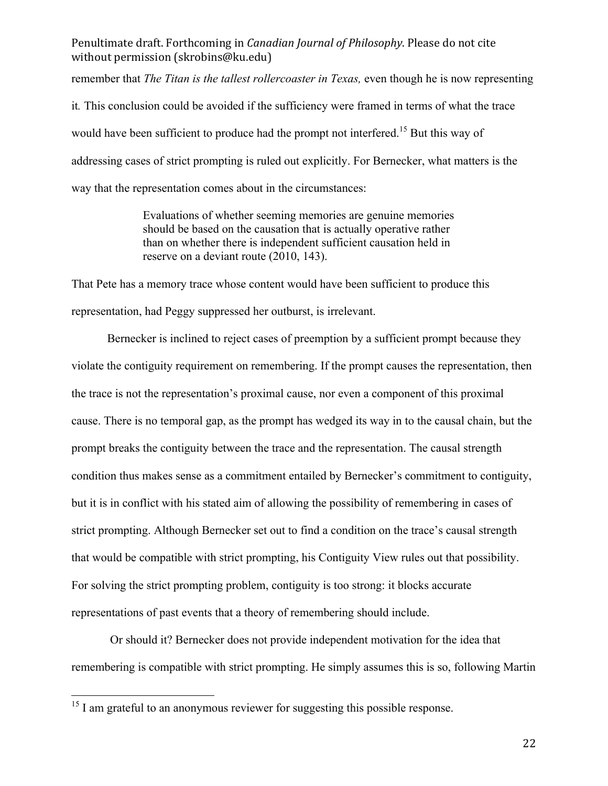remember that *The Titan is the tallest rollercoaster in Texas*, even though he is now representing

it*.* This conclusion could be avoided if the sufficiency were framed in terms of what the trace would have been sufficient to produce had the prompt not interfered.<sup>15</sup> But this way of addressing cases of strict prompting is ruled out explicitly. For Bernecker, what matters is the way that the representation comes about in the circumstances:

> Evaluations of whether seeming memories are genuine memories should be based on the causation that is actually operative rather than on whether there is independent sufficient causation held in reserve on a deviant route (2010, 143).

That Pete has a memory trace whose content would have been sufficient to produce this representation, had Peggy suppressed her outburst, is irrelevant.

Bernecker is inclined to reject cases of preemption by a sufficient prompt because they violate the contiguity requirement on remembering. If the prompt causes the representation, then the trace is not the representation's proximal cause, nor even a component of this proximal cause. There is no temporal gap, as the prompt has wedged its way in to the causal chain, but the prompt breaks the contiguity between the trace and the representation. The causal strength condition thus makes sense as a commitment entailed by Bernecker's commitment to contiguity, but it is in conflict with his stated aim of allowing the possibility of remembering in cases of strict prompting. Although Bernecker set out to find a condition on the trace's causal strength that would be compatible with strict prompting, his Contiguity View rules out that possibility. For solving the strict prompting problem, contiguity is too strong: it blocks accurate representations of past events that a theory of remembering should include.

Or should it? Bernecker does not provide independent motivation for the idea that remembering is compatible with strict prompting. He simply assumes this is so, following Martin

<sup>&</sup>lt;sup>15</sup> I am grateful to an anonymous reviewer for suggesting this possible response.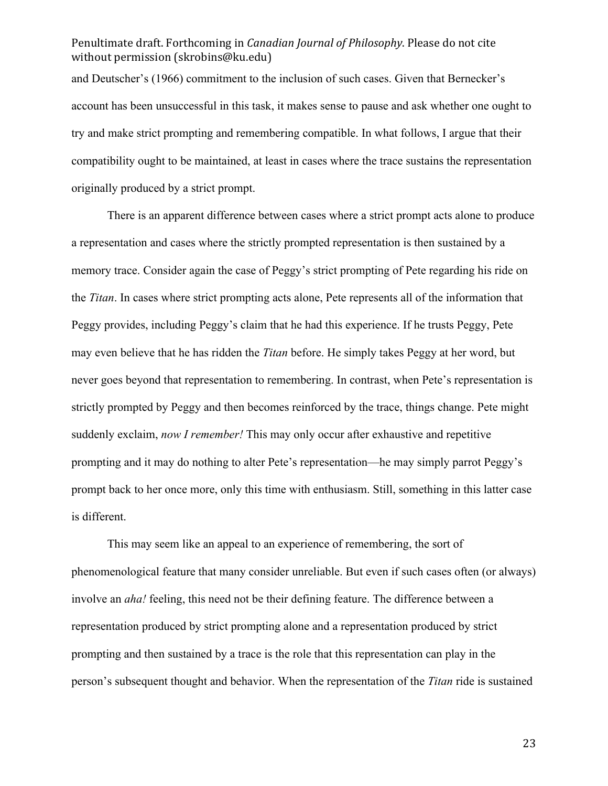and Deutscher's (1966) commitment to the inclusion of such cases. Given that Bernecker's account has been unsuccessful in this task, it makes sense to pause and ask whether one ought to try and make strict prompting and remembering compatible. In what follows, I argue that their compatibility ought to be maintained, at least in cases where the trace sustains the representation originally produced by a strict prompt.

There is an apparent difference between cases where a strict prompt acts alone to produce a representation and cases where the strictly prompted representation is then sustained by a memory trace. Consider again the case of Peggy's strict prompting of Pete regarding his ride on the *Titan*. In cases where strict prompting acts alone, Pete represents all of the information that Peggy provides, including Peggy's claim that he had this experience. If he trusts Peggy, Pete may even believe that he has ridden the *Titan* before. He simply takes Peggy at her word, but never goes beyond that representation to remembering. In contrast, when Pete's representation is strictly prompted by Peggy and then becomes reinforced by the trace, things change. Pete might suddenly exclaim, *now I remember!* This may only occur after exhaustive and repetitive prompting and it may do nothing to alter Pete's representation—he may simply parrot Peggy's prompt back to her once more, only this time with enthusiasm. Still, something in this latter case is different.

This may seem like an appeal to an experience of remembering, the sort of phenomenological feature that many consider unreliable. But even if such cases often (or always) involve an *aha!* feeling, this need not be their defining feature. The difference between a representation produced by strict prompting alone and a representation produced by strict prompting and then sustained by a trace is the role that this representation can play in the person's subsequent thought and behavior. When the representation of the *Titan* ride is sustained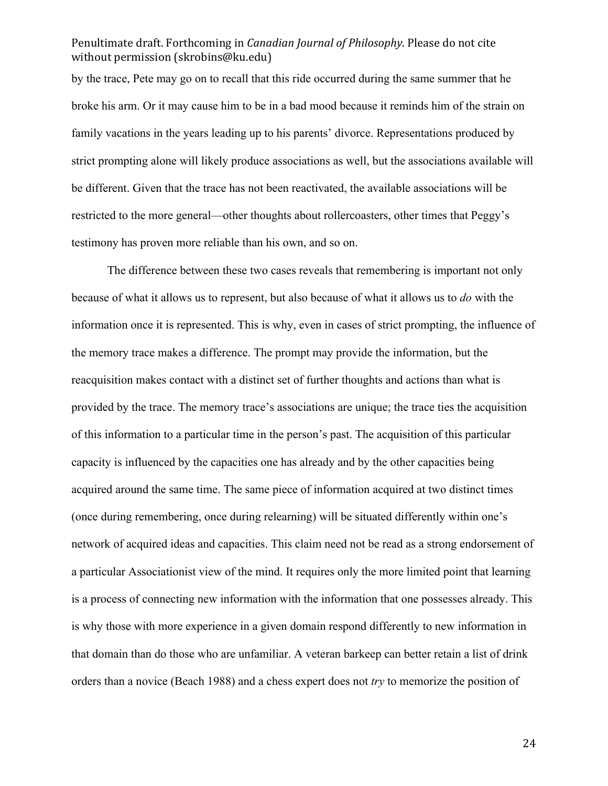by the trace, Pete may go on to recall that this ride occurred during the same summer that he broke his arm. Or it may cause him to be in a bad mood because it reminds him of the strain on family vacations in the years leading up to his parents' divorce. Representations produced by strict prompting alone will likely produce associations as well, but the associations available will be different. Given that the trace has not been reactivated, the available associations will be restricted to the more general—other thoughts about rollercoasters, other times that Peggy's testimony has proven more reliable than his own, and so on.

The difference between these two cases reveals that remembering is important not only because of what it allows us to represent, but also because of what it allows us to *do* with the information once it is represented. This is why, even in cases of strict prompting, the influence of the memory trace makes a difference. The prompt may provide the information, but the reacquisition makes contact with a distinct set of further thoughts and actions than what is provided by the trace. The memory trace's associations are unique; the trace ties the acquisition of this information to a particular time in the person's past. The acquisition of this particular capacity is influenced by the capacities one has already and by the other capacities being acquired around the same time. The same piece of information acquired at two distinct times (once during remembering, once during relearning) will be situated differently within one's network of acquired ideas and capacities. This claim need not be read as a strong endorsement of a particular Associationist view of the mind. It requires only the more limited point that learning is a process of connecting new information with the information that one possesses already. This is why those with more experience in a given domain respond differently to new information in that domain than do those who are unfamiliar. A veteran barkeep can better retain a list of drink orders than a novice (Beach 1988) and a chess expert does not *try* to memorize the position of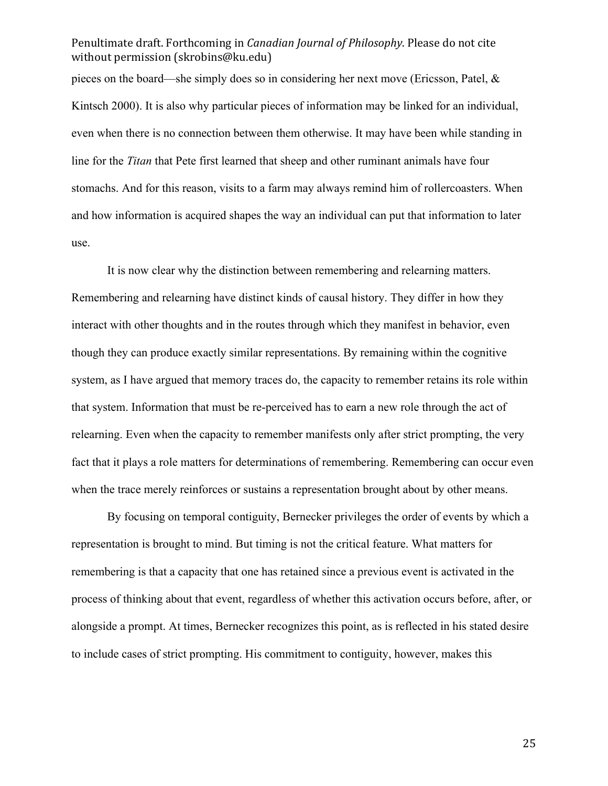pieces on the board—she simply does so in considering her next move (Ericsson, Patel, & Kintsch 2000). It is also why particular pieces of information may be linked for an individual, even when there is no connection between them otherwise. It may have been while standing in line for the *Titan* that Pete first learned that sheep and other ruminant animals have four stomachs. And for this reason, visits to a farm may always remind him of rollercoasters. When and how information is acquired shapes the way an individual can put that information to later use.

It is now clear why the distinction between remembering and relearning matters. Remembering and relearning have distinct kinds of causal history. They differ in how they interact with other thoughts and in the routes through which they manifest in behavior, even though they can produce exactly similar representations. By remaining within the cognitive system, as I have argued that memory traces do, the capacity to remember retains its role within that system. Information that must be re-perceived has to earn a new role through the act of relearning. Even when the capacity to remember manifests only after strict prompting, the very fact that it plays a role matters for determinations of remembering. Remembering can occur even when the trace merely reinforces or sustains a representation brought about by other means.

By focusing on temporal contiguity, Bernecker privileges the order of events by which a representation is brought to mind. But timing is not the critical feature. What matters for remembering is that a capacity that one has retained since a previous event is activated in the process of thinking about that event, regardless of whether this activation occurs before, after, or alongside a prompt. At times, Bernecker recognizes this point, as is reflected in his stated desire to include cases of strict prompting. His commitment to contiguity, however, makes this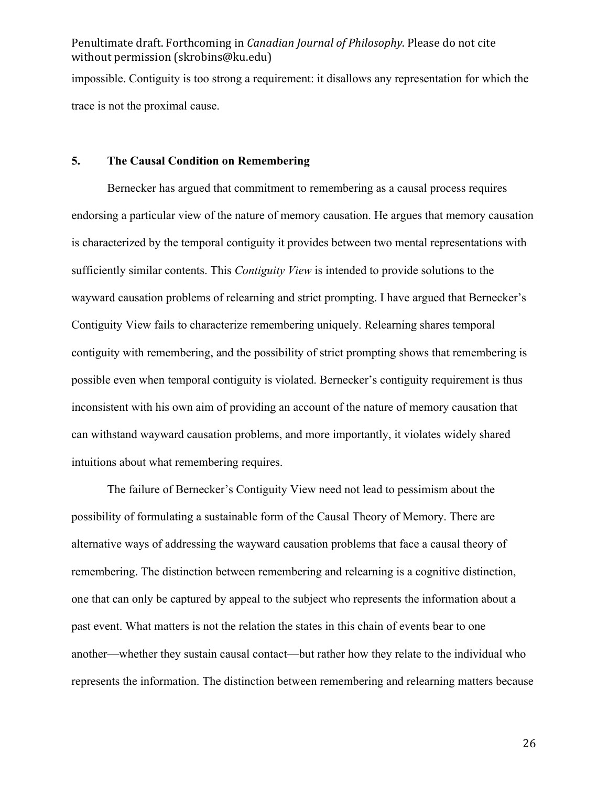impossible. Contiguity is too strong a requirement: it disallows any representation for which the trace is not the proximal cause.

#### **5. The Causal Condition on Remembering**

Bernecker has argued that commitment to remembering as a causal process requires endorsing a particular view of the nature of memory causation. He argues that memory causation is characterized by the temporal contiguity it provides between two mental representations with sufficiently similar contents. This *Contiguity View* is intended to provide solutions to the wayward causation problems of relearning and strict prompting. I have argued that Bernecker's Contiguity View fails to characterize remembering uniquely. Relearning shares temporal contiguity with remembering, and the possibility of strict prompting shows that remembering is possible even when temporal contiguity is violated. Bernecker's contiguity requirement is thus inconsistent with his own aim of providing an account of the nature of memory causation that can withstand wayward causation problems, and more importantly, it violates widely shared intuitions about what remembering requires.

The failure of Bernecker's Contiguity View need not lead to pessimism about the possibility of formulating a sustainable form of the Causal Theory of Memory. There are alternative ways of addressing the wayward causation problems that face a causal theory of remembering. The distinction between remembering and relearning is a cognitive distinction, one that can only be captured by appeal to the subject who represents the information about a past event. What matters is not the relation the states in this chain of events bear to one another—whether they sustain causal contact—but rather how they relate to the individual who represents the information. The distinction between remembering and relearning matters because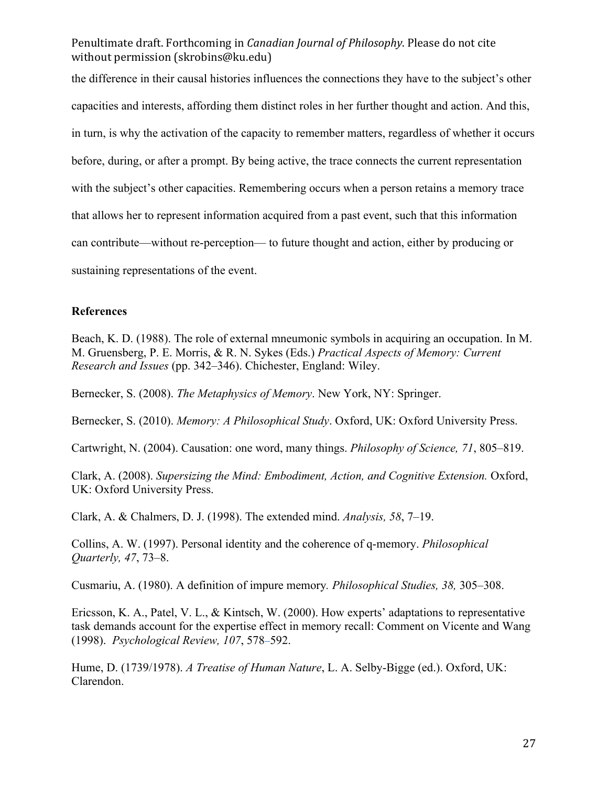the difference in their causal histories influences the connections they have to the subject's other capacities and interests, affording them distinct roles in her further thought and action. And this, in turn, is why the activation of the capacity to remember matters, regardless of whether it occurs before, during, or after a prompt. By being active, the trace connects the current representation with the subject's other capacities. Remembering occurs when a person retains a memory trace that allows her to represent information acquired from a past event, such that this information can contribute—without re-perception— to future thought and action, either by producing or sustaining representations of the event.

#### **References**

Beach, K. D. (1988). The role of external mneumonic symbols in acquiring an occupation. In M. M. Gruensberg, P. E. Morris, & R. N. Sykes (Eds.) *Practical Aspects of Memory: Current Research and Issues* (pp. 342–346). Chichester, England: Wiley.

Bernecker, S. (2008). *The Metaphysics of Memory*. New York, NY: Springer.

Bernecker, S. (2010). *Memory: A Philosophical Study*. Oxford, UK: Oxford University Press.

Cartwright, N. (2004). Causation: one word, many things. *Philosophy of Science, 71*, 805–819.

Clark, A. (2008). *Supersizing the Mind: Embodiment, Action, and Cognitive Extension.* Oxford, UK: Oxford University Press.

Clark, A. & Chalmers, D. J. (1998). The extended mind. *Analysis, 58*, 7–19.

Collins, A. W. (1997). Personal identity and the coherence of q-memory. *Philosophical Quarterly, 47*, 73–8.

Cusmariu, A. (1980). A definition of impure memory*. Philosophical Studies, 38,* 305–308.

Ericsson, K. A., Patel, V. L., & Kintsch, W. (2000). How experts' adaptations to representative task demands account for the expertise effect in memory recall: Comment on Vicente and Wang (1998). *Psychological Review, 107*, 578*–*592.

Hume, D. (1739/1978). *A Treatise of Human Nature*, L. A. Selby-Bigge (ed.). Oxford, UK: Clarendon.